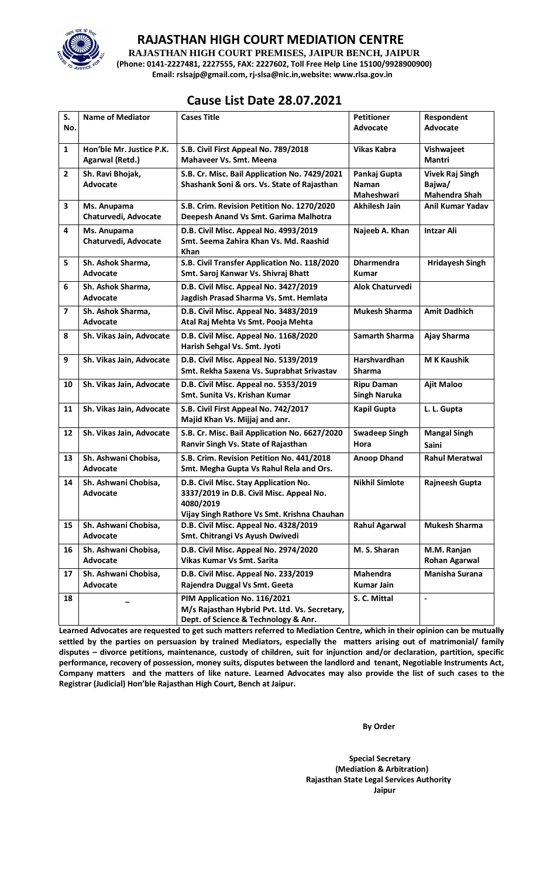

# **RAJASTHAN HIGH COURT MEDIATION CENTRE**

**RAJASTHAN HIGH COURT PREMISES, JAIPUR BENCH, JAIPUR (Phone: 0141-2227481, 2227555, FAX: 2227602, Toll Free Help Line 15100/9928900900) Email: rslsajp@gmail.com, rj-slsa@nic.in,website: www.rlsa.gov.in**

# **Cause List Date 28.07.2021**

| S.                      | <b>Name of Mediator</b>  | <b>Cases Title</b>                            | <b>Petitioner</b>                        | <b>Respondent</b>      |
|-------------------------|--------------------------|-----------------------------------------------|------------------------------------------|------------------------|
| No.                     |                          |                                               | <b>Advocate</b>                          | Advocate               |
|                         |                          |                                               |                                          |                        |
| $\mathbf{1}$            | Hon'ble Mr. Justice P.K. | S.B. Civil First Appeal No. 789/2018          | <b>Vikas Kabra</b>                       | Vishwajeet             |
|                         | Agarwal (Retd.)          | <b>Mahaveer Vs. Smt. Meena</b>                |                                          | Mantri                 |
| $\mathbf{2}$            | Sh. Ravi Bhojak,         | S.B. Cr. Misc. Bail Application No. 7429/2021 | Pankaj Gupta                             | <b>Vivek Raj Singh</b> |
|                         | Advocate                 | Shashank Soni & ors. Vs. State of Rajasthan   | <b>Naman</b>                             | Bajwa/                 |
|                         |                          |                                               | Maheshwari                               | Mahendra Shah          |
| 3                       | Ms. Anupama              | S.B. Crim. Revision Petition No. 1270/2020    | <b>Akhilesh Jain</b>                     | Anil Kumar Yadav       |
|                         | Chaturvedi, Advocate     | Deepesh Anand Vs Smt. Garima Malhotra         |                                          |                        |
| 4                       | Ms. Anupama              | D.B. Civil Misc. Appeal No. 4993/2019         | Najeeb A. Khan                           | <b>Intzar Ali</b>      |
|                         | Chaturvedi, Advocate     | Smt. Seema Zahira Khan Vs. Md. Raashid        |                                          |                        |
|                         |                          | <b>Khan</b>                                   |                                          |                        |
| 5                       | Sh. Ashok Sharma,        | S.B. Civil Transfer Application No. 118/2020  | <b>Dharmendra</b>                        | <b>Hridayesh Singh</b> |
|                         | Advocate                 | Smt. Saroj Kanwar Vs. Shivraj Bhatt           | Kumar                                    |                        |
| 6                       | Sh. Ashok Sharma,        | D.B. Civil Misc. Appeal No. 3427/2019         | <b>Alok Chaturvedi</b>                   |                        |
|                         | Advocate                 | Jagdish Prasad Sharma Vs. Smt. Hemlata        |                                          |                        |
| $\overline{\mathbf{z}}$ | Sh. Ashok Sharma,        | D.B. Civil Misc. Appeal No. 3483/2019         | <b>Mukesh Sharma</b>                     | <b>Amit Dadhich</b>    |
|                         | Advocate                 | Atal Raj Mehta Vs Smt. Pooja Mehta            |                                          |                        |
| 8                       | Sh. Vikas Jain, Advocate | D.B. Civil Misc. Appeal No. 1168/2020         | <b>Samarth Sharma</b>                    | Ajay Sharma            |
|                         |                          | Harish Sehgal Vs. Smt. Jyoti                  |                                          |                        |
| 9                       | Sh. Vikas Jain, Advocate | D.B. Civil Misc. Appeal No. 5139/2019         | Harshvardhan                             | <b>M K Kaushik</b>     |
|                         |                          | Smt. Rekha Saxena Vs. Suprabhat Srivastav     | Sharma                                   |                        |
|                         |                          | D.B. Civil Misc. Appeal no. 5353/2019         |                                          |                        |
| 10                      | Sh. Vikas Jain, Advocate | Smt. Sunita Vs. Krishan Kumar                 | <b>Ripu Daman</b><br><b>Singh Naruka</b> | <b>Ajit Maloo</b>      |
|                         |                          |                                               |                                          |                        |
| 11                      | Sh. Vikas Jain, Advocate | S.B. Civil First Appeal No. 742/2017          | <b>Kapil Gupta</b>                       | L. L. Gupta            |
|                         |                          | Majid Khan Vs. Mijjaj and anr.                |                                          |                        |
| 12                      | Sh. Vikas Jain, Advocate | S.B. Cr. Misc. Bail Application No. 6627/2020 | <b>Swadeep Singh</b>                     | <b>Mangal Singh</b>    |
|                         |                          | Ranvir Singh Vs. State of Rajasthan           | Hora                                     | Saini                  |
| 13                      | Sh. Ashwani Chobisa,     | S.B. Crim. Revision Petition No. 441/2018     | <b>Anoop Dhand</b>                       | <b>Rahul Meratwal</b>  |
|                         | Advocate                 | Smt. Megha Gupta Vs Rahul Rela and Ors.       |                                          |                        |
| 14                      | Sh. Ashwani Chobisa,     | D.B. Civil Misc. Stay Application No.         | <b>Nikhil Simlote</b>                    | Rajneesh Gupta         |
|                         | Advocate                 | 3337/2019 in D.B. Civil Misc. Appeal No.      |                                          |                        |
|                         |                          | 4080/2019                                     |                                          |                        |
|                         |                          | Vijay Singh Rathore Vs Smt. Krishna Chauhan   |                                          |                        |
| 15                      | Sh. Ashwani Chobisa,     | D.B. Civil Misc. Appeal No. 4328/2019         | <b>Rahul Agarwal</b>                     | <b>Mukesh Sharma</b>   |
|                         | Advocate                 | Smt. Chitrangi Vs Ayush Dwivedi               |                                          |                        |
| 16                      | Sh. Ashwani Chobisa,     | D.B. Civil Misc. Appeal No. 2974/2020         | M. S. Sharan                             | M.M. Ranjan            |
|                         | Advocate                 | Vikas Kumar Vs Smt. Sarita                    |                                          | <b>Rohan Agarwal</b>   |
| 17                      | Sh. Ashwani Chobisa,     | D.B. Civil Misc. Appeal No. 233/2019          | <b>Mahendra</b>                          | <b>Manisha Surana</b>  |
|                         | Advocate                 | Rajendra Duggal Vs Smt. Geeta                 | <b>Kumar Jain</b>                        |                        |
| 18                      |                          | PIM Application No. 116/2021                  | S. C. Mittal                             | $\blacksquare$         |
|                         |                          | M/s Rajasthan Hybrid Pvt. Ltd. Vs. Secretary, |                                          |                        |
|                         |                          | Dept. of Science & Technology & Anr.          |                                          |                        |

**Learned Advocates are requested to get such matters referred to Mediation Centre, which in their opinion can be mutually settled by the parties on persuasion by trained Mediators, especially the matters arising out of matrimonial/ family disputes – divorce petitions, maintenance, custody of children, suit for injunction and/or declaration, partition, specific performance, recovery of possession, money suits, disputes between the landlord and tenant, Negotiable Instruments Act, Company matters and the matters of like nature. Learned Advocates may also provide the list of such cases to the Registrar (Judicial) Hon'ble Rajasthan High Court, Bench at Jaipur.** 

 **By Order** 

 **Special Secretary (Mediation & Arbitration) Rajasthan State Legal Services Authority Jaipur**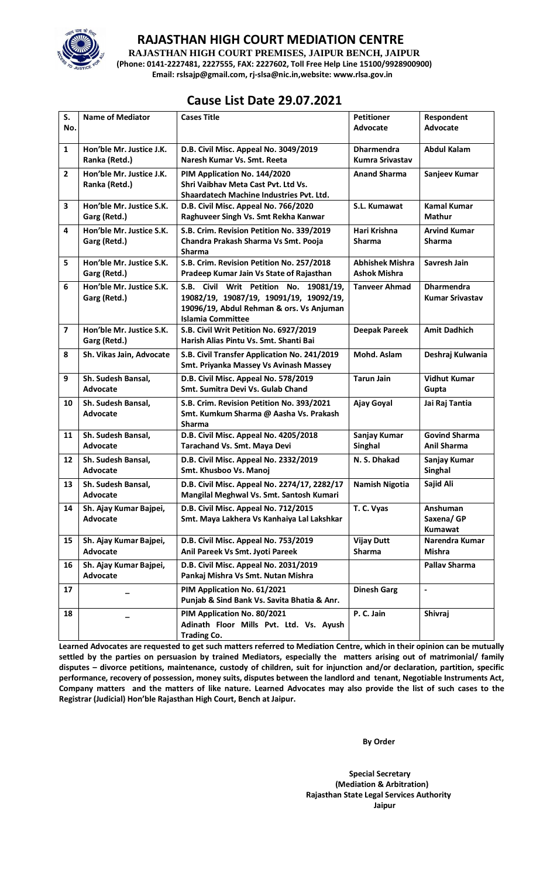

# **RAJASTHAN HIGH COURT MEDIATION CENTRE**

**RAJASTHAN HIGH COURT PREMISES, JAIPUR BENCH, JAIPUR (Phone: 0141-2227481, 2227555, FAX: 2227602, Toll Free Help Line 15100/9928900900) Email: rslsajp@gmail.com, rj-slsa@nic.in,website: www.rlsa.gov.in**

# **Cause List Date 29.07.2021**

| S.             | <b>Name of Mediator</b>                   | <b>Cases Title</b>                                                                                                                                        | <b>Petitioner</b>                             | Respondent                                  |
|----------------|-------------------------------------------|-----------------------------------------------------------------------------------------------------------------------------------------------------------|-----------------------------------------------|---------------------------------------------|
| No.            |                                           |                                                                                                                                                           | <b>Advocate</b>                               | Advocate                                    |
| $\mathbf{1}$   | Hon'ble Mr. Justice J.K.<br>Ranka (Retd.) | D.B. Civil Misc. Appeal No. 3049/2019<br>Naresh Kumar Vs. Smt. Reeta                                                                                      | <b>Dharmendra</b><br><b>Kumra Srivastav</b>   | <b>Abdul Kalam</b>                          |
| $\overline{2}$ | Hon'ble Mr. Justice J.K.<br>Ranka (Retd.) | PIM Application No. 144/2020<br>Shri Vaibhay Meta Cast Pyt. Ltd Vs.<br>Shaardatech Machine Industries Pvt. Ltd.                                           | <b>Anand Sharma</b>                           | Sanjeev Kumar                               |
| 3              | Hon'ble Mr. Justice S.K.<br>Garg (Retd.)  | D.B. Civil Misc. Appeal No. 766/2020<br>Raghuveer Singh Vs. Smt Rekha Kanwar                                                                              | S.L. Kumawat                                  | <b>Kamal Kumar</b><br><b>Mathur</b>         |
| 4              | Hon'ble Mr. Justice S.K.<br>Garg (Retd.)  | S.B. Crim. Revision Petition No. 339/2019<br>Chandra Prakash Sharma Vs Smt. Pooja<br><b>Sharma</b>                                                        | Hari Krishna<br>Sharma                        | <b>Arvind Kumar</b><br><b>Sharma</b>        |
| 5              | Hon'ble Mr. Justice S.K.<br>Garg (Retd.)  | S.B. Crim. Revision Petition No. 257/2018<br>Pradeep Kumar Jain Vs State of Rajasthan                                                                     | <b>Abhishek Mishra</b><br><b>Ashok Mishra</b> | Savresh Jain                                |
| 6              | Hon'ble Mr. Justice S.K.<br>Garg (Retd.)  | S.B. Civil Writ Petition No. 19081/19,<br>19082/19, 19087/19, 19091/19, 19092/19,<br>19096/19, Abdul Rehman & ors. Vs Anjuman<br><b>Islamia Committee</b> | <b>Tanveer Ahmad</b>                          | <b>Dharmendra</b><br><b>Kumar Srivastav</b> |
| $\overline{7}$ | Hon'ble Mr. Justice S.K.<br>Garg (Retd.)  | S.B. Civil Writ Petition No. 6927/2019<br>Harish Alias Pintu Vs. Smt. Shanti Bai                                                                          | <b>Deepak Pareek</b>                          | <b>Amit Dadhich</b>                         |
| 8              | Sh. Vikas Jain, Advocate                  | S.B. Civil Transfer Application No. 241/2019<br>Smt. Priyanka Massey Vs Avinash Massey                                                                    | Mohd. Aslam                                   | Deshraj Kulwania                            |
| 9              | Sh. Sudesh Bansal,<br>Advocate            | D.B. Civil Misc. Appeal No. 578/2019<br>Smt. Sumitra Devi Vs. Gulab Chand                                                                                 | <b>Tarun Jain</b>                             | <b>Vidhut Kumar</b><br>Gupta                |
| 10             | Sh. Sudesh Bansal,<br>Advocate            | S.B. Crim. Revision Petition No. 393/2021<br>Smt. Kumkum Sharma @ Aasha Vs. Prakash<br><b>Sharma</b>                                                      | Ajay Goyal                                    | Jai Raj Tantia                              |
| 11             | Sh. Sudesh Bansal,<br>Advocate            | D.B. Civil Misc. Appeal No. 4205/2018<br>Tarachand Vs. Smt. Maya Devi                                                                                     | Sanjay Kumar<br>Singhal                       | <b>Govind Sharma</b><br><b>Anil Sharma</b>  |
| 12             | Sh. Sudesh Bansal,<br>Advocate            | D.B. Civil Misc. Appeal No. 2332/2019<br>Smt. Khusboo Vs. Manoj                                                                                           | N. S. Dhakad                                  | Sanjay Kumar<br>Singhal                     |
| 13             | Sh. Sudesh Bansal,<br><b>Advocate</b>     | D.B. Civil Misc. Appeal No. 2274/17, 2282/17<br>Mangilal Meghwal Vs. Smt. Santosh Kumari                                                                  | <b>Namish Nigotia</b>                         | Sajid Ali                                   |
| 14             | Sh. Ajay Kumar Bajpei,<br>Advocate        | D.B. Civil Misc. Appeal No. 712/2015<br>Smt. Maya Lakhera Vs Kanhaiya Lal Lakshkar                                                                        | T. C. Vyas                                    | Anshuman<br>Saxena/GP<br>Kumawat            |
| 15             | Sh. Ajay Kumar Bajpei,<br>Advocate        | D.B. Civil Misc. Appeal No. 753/2019<br>Anil Pareek Vs Smt. Jyoti Pareek                                                                                  | <b>Vijay Dutt</b><br><b>Sharma</b>            | Narendra Kumar<br>Mishra                    |
| 16             | Sh. Ajay Kumar Bajpei,<br>Advocate        | D.B. Civil Misc. Appeal No. 2031/2019<br>Pankaj Mishra Vs Smt. Nutan Mishra                                                                               |                                               | Pallav Sharma                               |
| 17             |                                           | PIM Application No. 61/2021<br>Punjab & Sind Bank Vs. Savita Bhatia & Anr.                                                                                | <b>Dinesh Garg</b>                            | $\overline{\phantom{a}}$                    |
| 18             |                                           | PIM Application No. 80/2021<br>Adinath Floor Mills Pvt. Ltd. Vs. Ayush<br><b>Trading Co.</b>                                                              | P.C. Jain                                     | Shivraj                                     |

**Learned Advocates are requested to get such matters referred to Mediation Centre, which in their opinion can be mutually settled by the parties on persuasion by trained Mediators, especially the matters arising out of matrimonial/ family disputes – divorce petitions, maintenance, custody of children, suit for injunction and/or declaration, partition, specific performance, recovery of possession, money suits, disputes between the landlord and tenant, Negotiable Instruments Act, Company matters and the matters of like nature. Learned Advocates may also provide the list of such cases to the Registrar (Judicial) Hon'ble Rajasthan High Court, Bench at Jaipur.** 

 **By Order** 

 **Special Secretary (Mediation & Arbitration) Rajasthan State Legal Services Authority Jaipur**